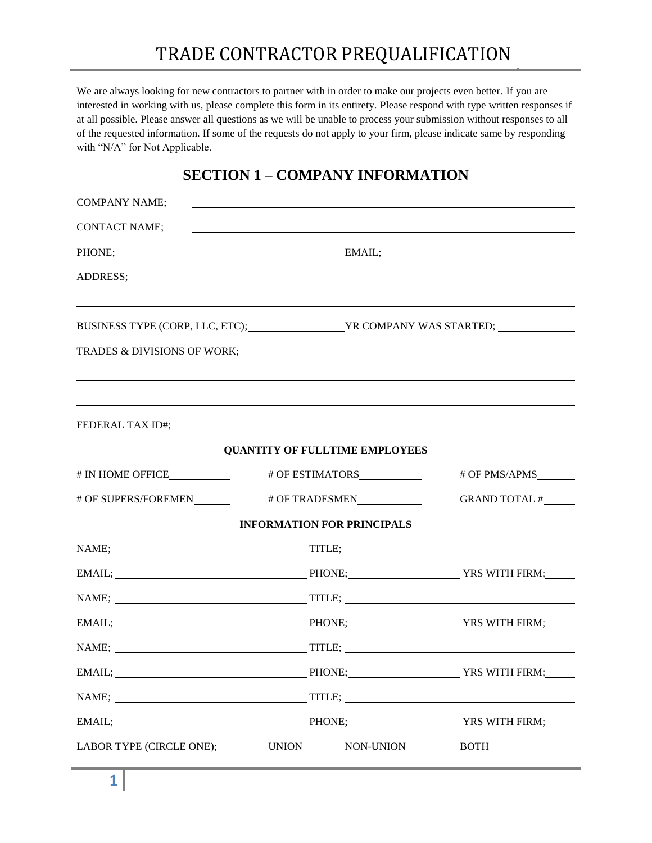We are always looking for new contractors to partner with in order to make our projects even better. If you are interested in working with us, please complete this form in its entirety. Please respond with type written responses if at all possible. Please answer all questions as we will be unable to process your submission without responses to all of the requested information. If some of the requests do not apply to your firm, please indicate same by responding with "N/A" for Not Applicable.

### **SECTION 1 – COMPANY INFORMATION**

| <b>COMPANY NAME;</b>                                       |                                            | <u> 1989 - Johann Stoff, amerikansk politiker (d. 1989)</u> |                                                                   |  |  |  |
|------------------------------------------------------------|--------------------------------------------|-------------------------------------------------------------|-------------------------------------------------------------------|--|--|--|
| CONTACT NAME;                                              |                                            |                                                             | <u> 1989 - Andrea Stadt Britain, amerikansk politik (d. 1989)</u> |  |  |  |
| PHONE; PHONE                                               |                                            | $EMAIL; \underline{\hspace{2cm}}$                           |                                                                   |  |  |  |
| ADDRESS; ADDRESS;                                          |                                            |                                                             |                                                                   |  |  |  |
| BUSINESS TYPE (CORP, LLC, ETC);<br>YR COMPANY WAS STARTED; |                                            |                                                             |                                                                   |  |  |  |
| TRADES & DIVISIONS OF WORK;<br>TRADES & DIVISIONS OF WORK; |                                            |                                                             |                                                                   |  |  |  |
|                                                            |                                            | <b>QUANTITY OF FULLTIME EMPLOYEES</b>                       |                                                                   |  |  |  |
|                                                            |                                            |                                                             | # OF PMS/APMS________                                             |  |  |  |
|                                                            |                                            |                                                             | GRAND TOTAL #______                                               |  |  |  |
|                                                            |                                            | <b>INFORMATION FOR PRINCIPALS</b>                           |                                                                   |  |  |  |
|                                                            |                                            |                                                             |                                                                   |  |  |  |
|                                                            | EMAIL; PHONE; PHONE; PHONE: YRS WITH FIRM; |                                                             |                                                                   |  |  |  |
|                                                            |                                            |                                                             |                                                                   |  |  |  |
|                                                            | EMAIL; PHONE; PRS WITH FIRM;               |                                                             |                                                                   |  |  |  |
|                                                            |                                            |                                                             |                                                                   |  |  |  |
| EMAIL;                                                     | PHONE;                                     |                                                             | YRS WITH FIRM;                                                    |  |  |  |
|                                                            |                                            |                                                             |                                                                   |  |  |  |
|                                                            |                                            |                                                             |                                                                   |  |  |  |
| LABOR TYPE (CIRCLE ONE);                                   | NON-UNION<br><b>BOTH</b><br><b>UNION</b>   |                                                             |                                                                   |  |  |  |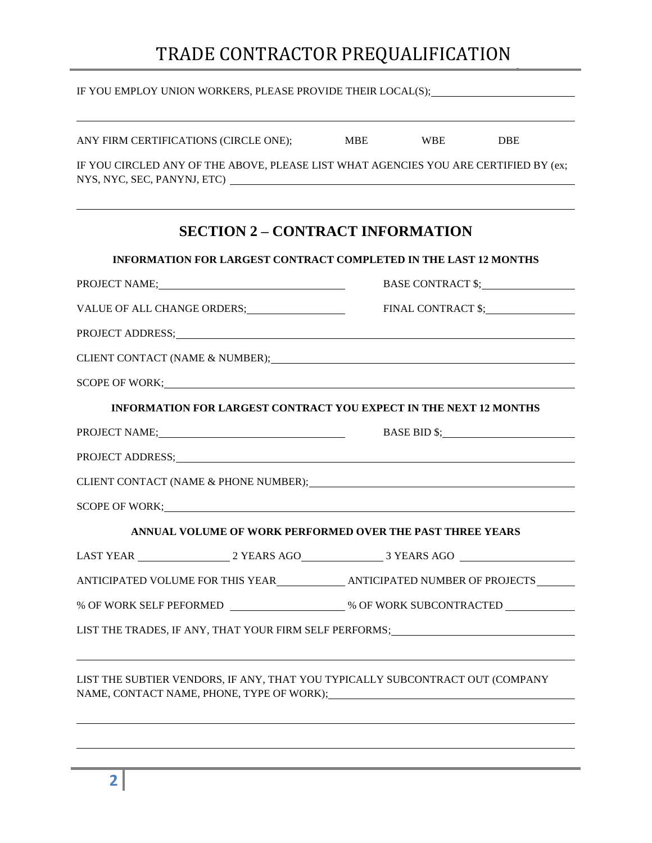|                             | MBE WBE DBE | ,我们也不会有什么。""我们的人,我们也不会有什么?""我们的人,我们也不会有什么?""我们的人,我们也不会有什么?""我们的人,我们也不会有什么?""我们的人                                                                                                                                                                                                                                                                                                                                                                                                                                                                                                                                                                                                                                                                                                                                                                                                                                                                                                                                                                                                                                                                                                                    |
|-----------------------------|-------------|-----------------------------------------------------------------------------------------------------------------------------------------------------------------------------------------------------------------------------------------------------------------------------------------------------------------------------------------------------------------------------------------------------------------------------------------------------------------------------------------------------------------------------------------------------------------------------------------------------------------------------------------------------------------------------------------------------------------------------------------------------------------------------------------------------------------------------------------------------------------------------------------------------------------------------------------------------------------------------------------------------------------------------------------------------------------------------------------------------------------------------------------------------------------------------------------------------|
|                             |             |                                                                                                                                                                                                                                                                                                                                                                                                                                                                                                                                                                                                                                                                                                                                                                                                                                                                                                                                                                                                                                                                                                                                                                                                     |
|                             |             | IF YOU CIRCLED ANY OF THE ABOVE, PLEASE LIST WHAT AGENCIES YOU ARE CERTIFIED BY (ex;                                                                                                                                                                                                                                                                                                                                                                                                                                                                                                                                                                                                                                                                                                                                                                                                                                                                                                                                                                                                                                                                                                                |
|                             |             |                                                                                                                                                                                                                                                                                                                                                                                                                                                                                                                                                                                                                                                                                                                                                                                                                                                                                                                                                                                                                                                                                                                                                                                                     |
|                             |             |                                                                                                                                                                                                                                                                                                                                                                                                                                                                                                                                                                                                                                                                                                                                                                                                                                                                                                                                                                                                                                                                                                                                                                                                     |
| PROJECT NAME; PROJECT NAME; |             |                                                                                                                                                                                                                                                                                                                                                                                                                                                                                                                                                                                                                                                                                                                                                                                                                                                                                                                                                                                                                                                                                                                                                                                                     |
|                             |             | FINAL CONTRACT \$; PINAL CONTRACT \$;                                                                                                                                                                                                                                                                                                                                                                                                                                                                                                                                                                                                                                                                                                                                                                                                                                                                                                                                                                                                                                                                                                                                                               |
|                             |             |                                                                                                                                                                                                                                                                                                                                                                                                                                                                                                                                                                                                                                                                                                                                                                                                                                                                                                                                                                                                                                                                                                                                                                                                     |
|                             |             |                                                                                                                                                                                                                                                                                                                                                                                                                                                                                                                                                                                                                                                                                                                                                                                                                                                                                                                                                                                                                                                                                                                                                                                                     |
|                             |             |                                                                                                                                                                                                                                                                                                                                                                                                                                                                                                                                                                                                                                                                                                                                                                                                                                                                                                                                                                                                                                                                                                                                                                                                     |
|                             |             |                                                                                                                                                                                                                                                                                                                                                                                                                                                                                                                                                                                                                                                                                                                                                                                                                                                                                                                                                                                                                                                                                                                                                                                                     |
| PROJECT NAME; PROJECT NAME  |             |                                                                                                                                                                                                                                                                                                                                                                                                                                                                                                                                                                                                                                                                                                                                                                                                                                                                                                                                                                                                                                                                                                                                                                                                     |
|                             |             |                                                                                                                                                                                                                                                                                                                                                                                                                                                                                                                                                                                                                                                                                                                                                                                                                                                                                                                                                                                                                                                                                                                                                                                                     |
|                             |             |                                                                                                                                                                                                                                                                                                                                                                                                                                                                                                                                                                                                                                                                                                                                                                                                                                                                                                                                                                                                                                                                                                                                                                                                     |
|                             |             |                                                                                                                                                                                                                                                                                                                                                                                                                                                                                                                                                                                                                                                                                                                                                                                                                                                                                                                                                                                                                                                                                                                                                                                                     |
|                             |             |                                                                                                                                                                                                                                                                                                                                                                                                                                                                                                                                                                                                                                                                                                                                                                                                                                                                                                                                                                                                                                                                                                                                                                                                     |
|                             |             |                                                                                                                                                                                                                                                                                                                                                                                                                                                                                                                                                                                                                                                                                                                                                                                                                                                                                                                                                                                                                                                                                                                                                                                                     |
|                             |             |                                                                                                                                                                                                                                                                                                                                                                                                                                                                                                                                                                                                                                                                                                                                                                                                                                                                                                                                                                                                                                                                                                                                                                                                     |
|                             |             |                                                                                                                                                                                                                                                                                                                                                                                                                                                                                                                                                                                                                                                                                                                                                                                                                                                                                                                                                                                                                                                                                                                                                                                                     |
|                             |             |                                                                                                                                                                                                                                                                                                                                                                                                                                                                                                                                                                                                                                                                                                                                                                                                                                                                                                                                                                                                                                                                                                                                                                                                     |
|                             |             |                                                                                                                                                                                                                                                                                                                                                                                                                                                                                                                                                                                                                                                                                                                                                                                                                                                                                                                                                                                                                                                                                                                                                                                                     |
|                             |             | <u> 1989 - Andrea Santana, amerikana amerikana amerikana amerikana amerikana amerikana amerikana amerikana amerika</u><br><b>SECTION 2 – CONTRACT INFORMATION</b><br><b>INFORMATION FOR LARGEST CONTRACT COMPLETED IN THE LAST 12 MONTHS</b><br>PROJECT ADDRESS; NATURAL PROJECT ADDRESS;<br>SCOPE OF WORK; New York Contract the SCOPE OF WORK;<br><b>INFORMATION FOR LARGEST CONTRACT YOU EXPECT IN THE NEXT 12 MONTHS</b><br>PROJECT ADDRESS; NATURAL MARKET AND RESIDENCE AND RESIDENCE AND RESIDENCE AND RESIDENCE AND RESIDENCE AND RESIDENCE AND RESIDENCE AND RESIDENCE AND RESIDENCE AND RESIDENCE AND RESIDENCE AND RESIDENCE AND RESIDENCE AND RESI<br>CLIENT CONTACT (NAME & PHONE NUMBER);<br>The matter of the state of the state of the state of the state of the state of the state of the state of the state of the state of the state of the state of the state of the state of<br>SCOPE OF WORK; New York Contract the SCOPE OF WORK;<br>ANNUAL VOLUME OF WORK PERFORMED OVER THE PAST THREE YEARS<br>ANTICIPATED VOLUME FOR THIS YEAR_______________ ANTICIPATED NUMBER OF PROJECTS_______<br>LIST THE TRADES, IF ANY, THAT YOUR FIRM SELF PERFORMS; __________________________ |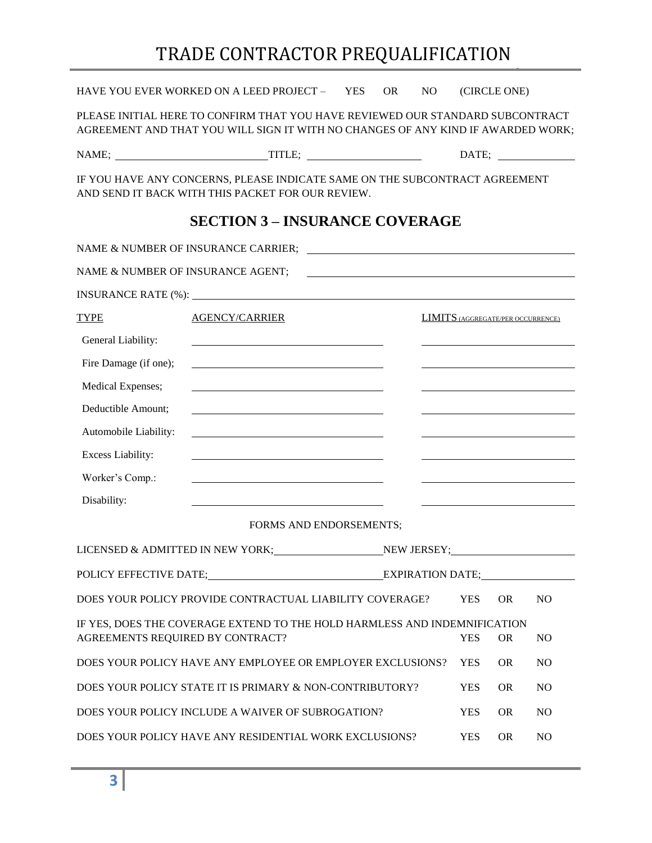|                                   | HAVE YOU EVER WORKED ON A LEED PROJECT - YES                                                                                                                       |                                                                                                                      | <b>OR</b> | N <sub>O</sub> |            | (CIRCLE ONE)                             |                |
|-----------------------------------|--------------------------------------------------------------------------------------------------------------------------------------------------------------------|----------------------------------------------------------------------------------------------------------------------|-----------|----------------|------------|------------------------------------------|----------------|
|                                   | PLEASE INITIAL HERE TO CONFIRM THAT YOU HAVE REVIEWED OUR STANDARD SUBCONTRACT<br>AGREEMENT AND THAT YOU WILL SIGN IT WITH NO CHANGES OF ANY KIND IF AWARDED WORK; |                                                                                                                      |           |                |            |                                          |                |
|                                   |                                                                                                                                                                    |                                                                                                                      |           |                |            |                                          |                |
|                                   | IF YOU HAVE ANY CONCERNS, PLEASE INDICATE SAME ON THE SUBCONTRACT AGREEMENT<br>AND SEND IT BACK WITH THIS PACKET FOR OUR REVIEW.                                   |                                                                                                                      |           |                |            |                                          |                |
|                                   | <b>SECTION 3 – INSURANCE COVERAGE</b>                                                                                                                              |                                                                                                                      |           |                |            |                                          |                |
|                                   | NAME & NUMBER OF INSURANCE CARRIER;                                                                                                                                | <u> Alexandria de la contrada de la contrada de la contrada de la contrada de la contrada de la contrada de la c</u> |           |                |            |                                          |                |
| NAME & NUMBER OF INSURANCE AGENT; |                                                                                                                                                                    | <u> 1980 - Johann Barbara, martin amerikan basar da</u>                                                              |           |                |            |                                          |                |
|                                   |                                                                                                                                                                    |                                                                                                                      |           |                |            |                                          |                |
| <b>TYPE</b>                       | <b>AGENCY/CARRIER</b>                                                                                                                                              |                                                                                                                      |           |                |            | <b>LIMITS</b> (AGGREGATE/PER OCCURRENCE) |                |
| General Liability:                | <u> 1989 - Johann Barbara, martxa alemaniar a</u>                                                                                                                  |                                                                                                                      |           |                |            |                                          |                |
| Fire Damage (if one);             | <u> 1989 - John Stein, mars and de Brazilian (b. 1989)</u>                                                                                                         |                                                                                                                      |           |                |            |                                          |                |
| Medical Expenses;                 | the contract of the contract of the contract of the contract of the contract of the                                                                                |                                                                                                                      |           |                |            |                                          |                |
| Deductible Amount;                |                                                                                                                                                                    |                                                                                                                      |           |                |            |                                          |                |
| Automobile Liability:             | <u> 1989 - Johann Stoff, Amerikaansk politiker († 1908)</u>                                                                                                        |                                                                                                                      |           |                |            |                                          |                |
| Excess Liability:                 |                                                                                                                                                                    |                                                                                                                      |           |                |            |                                          |                |
| Worker's Comp.:                   | <u> 1989 - Johann Stoff, deutscher Stoff, der Stoff, der Stoff, der Stoff, der Stoff, der Stoff, der Stoff, der S</u>                                              |                                                                                                                      |           |                |            |                                          |                |
| Disability:                       |                                                                                                                                                                    |                                                                                                                      |           |                |            |                                          |                |
|                                   | FORMS AND ENDORSEMENTS;                                                                                                                                            |                                                                                                                      |           |                |            |                                          |                |
|                                   | LICENSED & ADMITTED IN NEW YORK; NEW JERSEY; NEW JERSEY;                                                                                                           |                                                                                                                      |           |                |            |                                          |                |
|                                   | POLICY EFFECTIVE DATE; EXPIRATION DATE;                                                                                                                            |                                                                                                                      |           |                |            |                                          |                |
|                                   | DOES YOUR POLICY PROVIDE CONTRACTUAL LIABILITY COVERAGE?                                                                                                           |                                                                                                                      |           |                | <b>YES</b> | <b>OR</b>                                | N <sub>O</sub> |
| AGREEMENTS REQUIRED BY CONTRACT?  | IF YES, DOES THE COVERAGE EXTEND TO THE HOLD HARMLESS AND INDEMNIFICATION                                                                                          |                                                                                                                      |           |                | <b>YES</b> | <b>OR</b>                                | N <sub>O</sub> |
|                                   | DOES YOUR POLICY HAVE ANY EMPLOYEE OR EMPLOYER EXCLUSIONS?                                                                                                         |                                                                                                                      |           |                | <b>YES</b> | <b>OR</b>                                | N <sub>O</sub> |
|                                   | DOES YOUR POLICY STATE IT IS PRIMARY & NON-CONTRIBUTORY?                                                                                                           |                                                                                                                      |           |                | <b>YES</b> | <b>OR</b>                                | N <sub>O</sub> |
|                                   | DOES YOUR POLICY INCLUDE A WAIVER OF SUBROGATION?                                                                                                                  |                                                                                                                      |           |                | <b>YES</b> | <b>OR</b>                                | N <sub>O</sub> |
|                                   | DOES YOUR POLICY HAVE ANY RESIDENTIAL WORK EXCLUSIONS?                                                                                                             |                                                                                                                      |           |                | <b>YES</b> | <b>OR</b>                                | N <sub>O</sub> |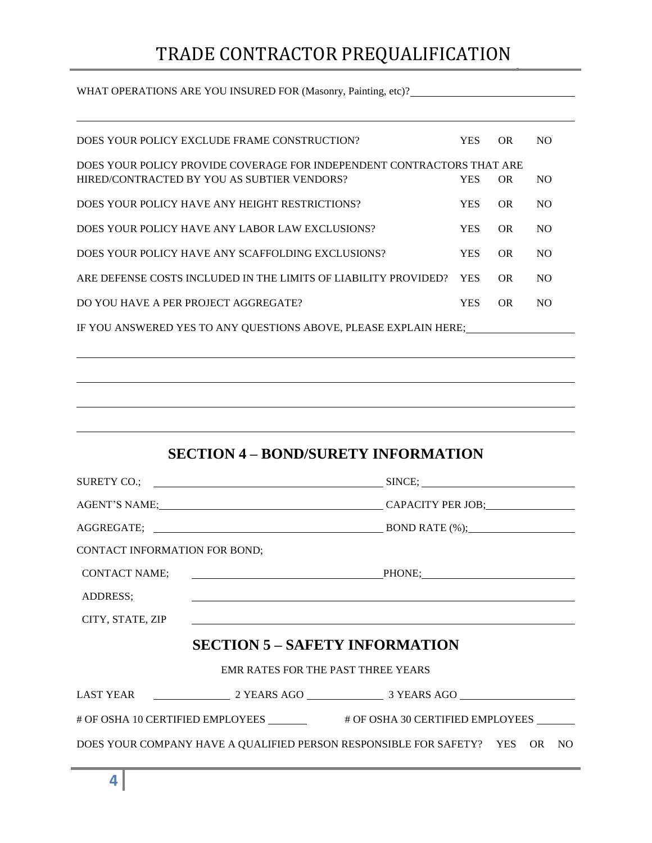WHAT OPERATIONS ARE YOU INSURED FOR (Masonry, Painting, etc)?\_\_\_\_\_\_\_\_\_\_\_\_\_\_\_\_\_\_\_

|                               | DOES YOUR POLICY EXCLUDE FRAME CONSTRUCTION?                                                                          | <b>YES</b> | <b>OR</b> | N <sub>O</sub> |
|-------------------------------|-----------------------------------------------------------------------------------------------------------------------|------------|-----------|----------------|
|                               | DOES YOUR POLICY PROVIDE COVERAGE FOR INDEPENDENT CONTRACTORS THAT ARE<br>HIRED/CONTRACTED BY YOU AS SUBTIER VENDORS? | <b>YES</b> | <b>OR</b> | NO.            |
|                               | DOES YOUR POLICY HAVE ANY HEIGHT RESTRICTIONS?                                                                        | <b>YES</b> | <b>OR</b> | N <sub>O</sub> |
|                               | DOES YOUR POLICY HAVE ANY LABOR LAW EXCLUSIONS?                                                                       | <b>YES</b> | <b>OR</b> | NO.            |
|                               | DOES YOUR POLICY HAVE ANY SCAFFOLDING EXCLUSIONS?                                                                     | <b>YES</b> | <b>OR</b> | N <sub>O</sub> |
|                               | ARE DEFENSE COSTS INCLUDED IN THE LIMITS OF LIABILITY PROVIDED?                                                       | <b>YES</b> | <b>OR</b> | <b>NO</b>      |
|                               | DO YOU HAVE A PER PROJECT AGGREGATE?                                                                                  | <b>YES</b> | <b>OR</b> | N <sub>O</sub> |
|                               | IF YOU ANSWERED YES TO ANY QUESTIONS ABOVE, PLEASE EXPLAIN HERE;                                                      |            |           |                |
|                               |                                                                                                                       |            |           |                |
|                               |                                                                                                                       |            |           |                |
|                               |                                                                                                                       |            |           |                |
|                               |                                                                                                                       |            |           |                |
|                               |                                                                                                                       |            |           |                |
|                               | <b>SECTION 4 – BOND/SURETY INFORMATION</b>                                                                            |            |           |                |
|                               |                                                                                                                       |            |           |                |
|                               |                                                                                                                       |            |           |                |
|                               |                                                                                                                       |            |           |                |
| CONTACT INFORMATION FOR BOND; |                                                                                                                       |            |           |                |
| <b>CONTACT NAME;</b>          | PHONE;                                                                                                                |            |           |                |
| ADDRESS;                      |                                                                                                                       |            |           |                |
| CITY, STATE, ZIP              |                                                                                                                       |            |           |                |
|                               | <b>SECTION 5 – SAFETY INFORMATION</b>                                                                                 |            |           |                |
|                               | EMR RATES FOR THE PAST THREE YEARS                                                                                    |            |           |                |
|                               |                                                                                                                       |            |           |                |
|                               | # OF OSHA 10 CERTIFIED EMPLOYEES _______ # OF OSHA 30 CERTIFIED EMPLOYEES ______                                      |            |           |                |
|                               | DOES YOUR COMPANY HAVE A QUALIFIED PERSON RESPONSIBLE FOR SAFETY? YES                                                 |            |           | OR —<br>NO     |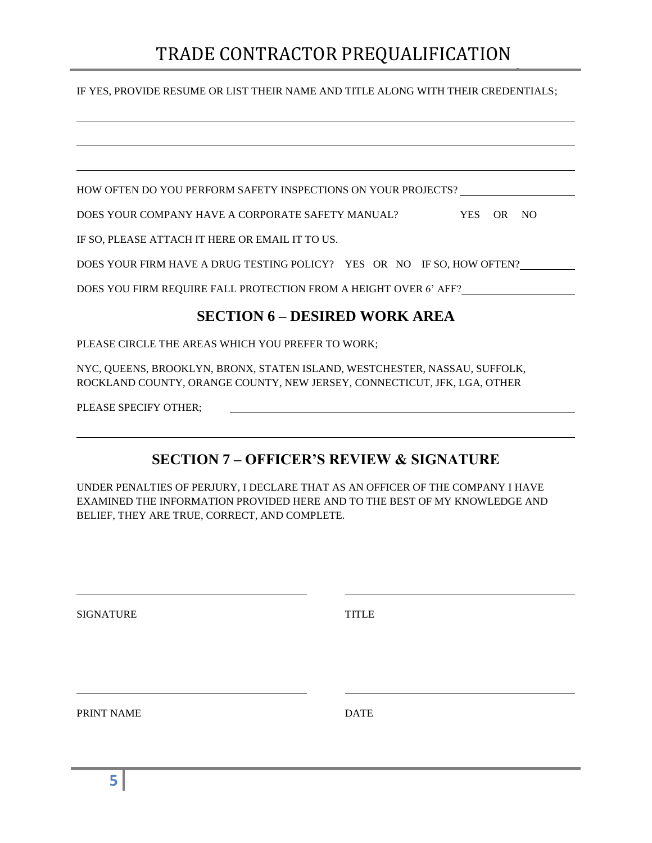#### IF YES, PROVIDE RESUME OR LIST THEIR NAME AND TITLE ALONG WITH THEIR CREDENTIALS;

| HOW OFTEN DO YOU PERFORM SAFETY INSPECTIONS ON YOUR PROJECTS?                   |
|---------------------------------------------------------------------------------|
| DOES YOUR COMPANY HAVE A CORPORATE SAFETY MANUAL?<br><b>YES</b><br>- NO<br>OR - |
| IF SO, PLEASE ATTACH IT HERE OR EMAIL IT TO US.                                 |
| DOES YOUR FIRM HAVE A DRUG TESTING POLICY? YES OR NO IF SO, HOW OFTEN?          |
| DOES YOU FIRM REQUIRE FALL PROTECTION FROM A HEIGHT OVER 6' AFF?                |
| <b>SECTION 6 – DESIRED WORK AREA</b>                                            |

PLEASE CIRCLE THE AREAS WHICH YOU PREFER TO WORK;

NYC, QUEENS, BROOKLYN, BRONX, STATEN ISLAND, WESTCHESTER, NASSAU, SUFFOLK, ROCKLAND COUNTY, ORANGE COUNTY, NEW JERSEY, CONNECTICUT, JFK, LGA, OTHER

PLEASE SPECIFY OTHER;

### **SECTION 7 – OFFICER'S REVIEW & SIGNATURE**

UNDER PENALTIES OF PERJURY, I DECLARE THAT AS AN OFFICER OF THE COMPANY I HAVE EXAMINED THE INFORMATION PROVIDED HERE AND TO THE BEST OF MY KNOWLEDGE AND BELIEF, THEY ARE TRUE, CORRECT, AND COMPLETE.

SIGNATURE TITLE PRINT NAME DATE